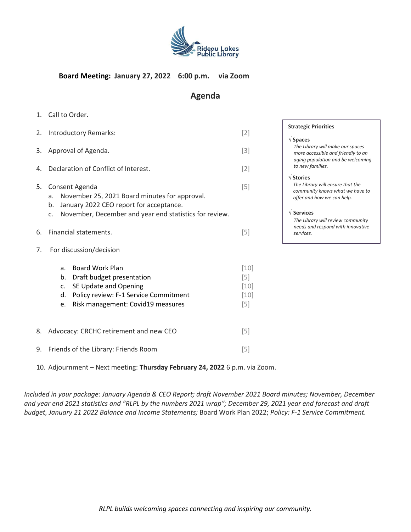

## **Board Meeting: January 27, 2022 6:00 p.m. via Zoom**

# **Agenda**

1. Call to Order.

|    | 2. Introductory Remarks:                                                                                                                                                                 | $[2]$                                        | S <sup>-</sup> |
|----|------------------------------------------------------------------------------------------------------------------------------------------------------------------------------------------|----------------------------------------------|----------------|
| 3. | Approval of Agenda.                                                                                                                                                                      | $[3]$                                        |                |
| 4. | Declaration of Conflict of Interest.                                                                                                                                                     | $[2]$                                        |                |
| 5. | Consent Agenda<br>November 25, 2021 Board minutes for approval.<br>a.<br>January 2022 CEO report for acceptance.<br>b.<br>November, December and year end statistics for review.<br>c.   | $[5]$                                        |                |
| 6. | Financial statements.                                                                                                                                                                    | $[5]$                                        |                |
| 7. | For discussion/decision                                                                                                                                                                  |                                              |                |
|    | <b>Board Work Plan</b><br>a.<br>b.<br>Draft budget presentation<br>SE Update and Opening<br>c.<br>Policy review: F-1 Service Commitment<br>d.<br>Risk management: Covid19 measures<br>e. | $[10]$<br>$[5]$<br>$[10]$<br>$[10]$<br>$[5]$ |                |
| 8. | Advocacy: CRCHC retirement and new CEO                                                                                                                                                   | $[5]$                                        |                |

10. Adjournment – Next meeting: **Thursday February 24, 2022** 6 p.m. via Zoom.

9. Friends of the Library: Friends Room [5]

*Included in your package: January Agenda & CEO Report; draft November 2021 Board minutes; November, December and year end 2021 statistics and "RLPL by the numbers 2021 wrap"; December 29, 2021 year end forecast and draft budget, January 21 2022 Balance and Income Statements;* Board Work Plan 2022; *Policy: F-1 Service Commitment.* 

#### **Strategic Priorities**

#### **Spaces**

*The Library will make our spaces more accessible and friendly to an aging population and be welcoming to new families.*

#### **Stories**

*The Library will ensure that the community knows what we have to offer and how we can help.*

#### **Services**

*The Library will review community needs and respond with innovative services.*